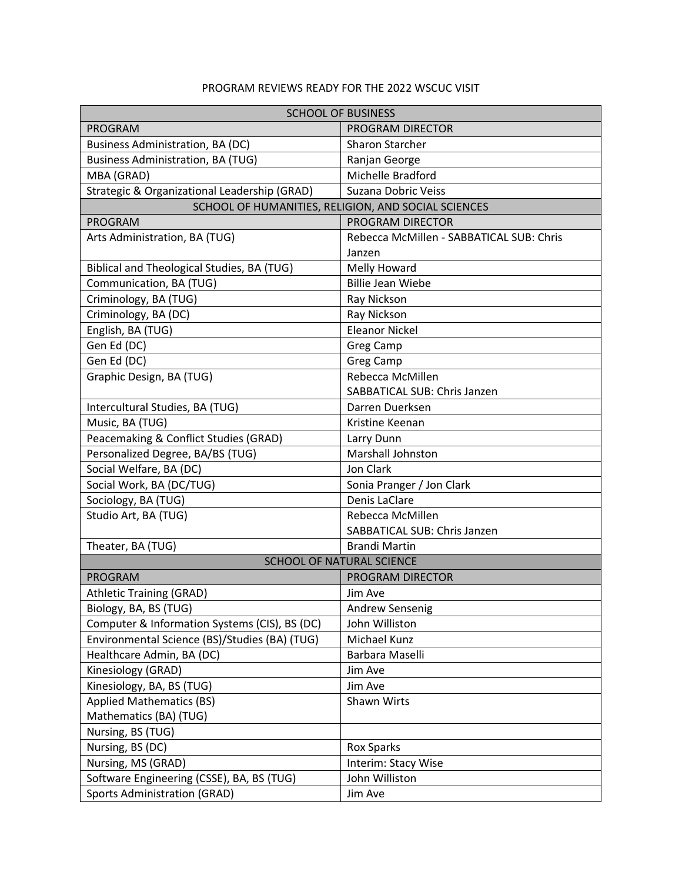## PROGRAM REVIEWS READY FOR THE 2022 WSCUC VISIT

| <b>SCHOOL OF BUSINESS</b>                           |                                          |
|-----------------------------------------------------|------------------------------------------|
| <b>PROGRAM</b>                                      | PROGRAM DIRECTOR                         |
| <b>Business Administration, BA (DC)</b>             | <b>Sharon Starcher</b>                   |
| Business Administration, BA (TUG)                   | Ranjan George                            |
| MBA (GRAD)                                          | Michelle Bradford                        |
| Strategic & Organizational Leadership (GRAD)        | Suzana Dobric Veiss                      |
| SCHOOL OF HUMANITIES, RELIGION, AND SOCIAL SCIENCES |                                          |
| <b>PROGRAM</b>                                      | PROGRAM DIRECTOR                         |
| Arts Administration, BA (TUG)                       | Rebecca McMillen - SABBATICAL SUB: Chris |
|                                                     | Janzen                                   |
| Biblical and Theological Studies, BA (TUG)          | Melly Howard                             |
| Communication, BA (TUG)                             | <b>Billie Jean Wiebe</b>                 |
| Criminology, BA (TUG)                               | Ray Nickson                              |
| Criminology, BA (DC)                                | Ray Nickson                              |
| English, BA (TUG)                                   | <b>Eleanor Nickel</b>                    |
| Gen Ed (DC)                                         | Greg Camp                                |
| Gen Ed (DC)                                         | <b>Greg Camp</b>                         |
| Graphic Design, BA (TUG)                            | Rebecca McMillen                         |
|                                                     | SABBATICAL SUB: Chris Janzen             |
| Intercultural Studies, BA (TUG)                     | Darren Duerksen                          |
| Music, BA (TUG)                                     | Kristine Keenan                          |
| Peacemaking & Conflict Studies (GRAD)               | Larry Dunn                               |
| Personalized Degree, BA/BS (TUG)                    | Marshall Johnston                        |
| Social Welfare, BA (DC)                             | Jon Clark                                |
| Social Work, BA (DC/TUG)                            | Sonia Pranger / Jon Clark                |
| Sociology, BA (TUG)                                 | Denis LaClare                            |
| Studio Art, BA (TUG)                                | Rebecca McMillen                         |
|                                                     | SABBATICAL SUB: Chris Janzen             |
| Theater, BA (TUG)                                   | <b>Brandi Martin</b>                     |
| SCHOOL OF NATURAL SCIENCE                           |                                          |
| <b>PROGRAM</b>                                      | PROGRAM DIRECTOR                         |
| <b>Athletic Training (GRAD)</b>                     | Jim Ave                                  |
| Biology, BA, BS (TUG)                               | Andrew Sensenig                          |
| Computer & Information Systems (CIS), BS (DC)       | John Williston                           |
| Environmental Science (BS)/Studies (BA) (TUG)       | Michael Kunz                             |
| Healthcare Admin, BA (DC)                           | Barbara Maselli                          |
| Kinesiology (GRAD)                                  | Jim Ave                                  |
| Kinesiology, BA, BS (TUG)                           | Jim Ave                                  |
| <b>Applied Mathematics (BS)</b>                     | Shawn Wirts                              |
| Mathematics (BA) (TUG)                              |                                          |
| Nursing, BS (TUG)                                   |                                          |
| Nursing, BS (DC)                                    | <b>Rox Sparks</b>                        |
| Nursing, MS (GRAD)                                  | Interim: Stacy Wise                      |
| Software Engineering (CSSE), BA, BS (TUG)           | John Williston                           |
| <b>Sports Administration (GRAD)</b>                 | Jim Ave                                  |